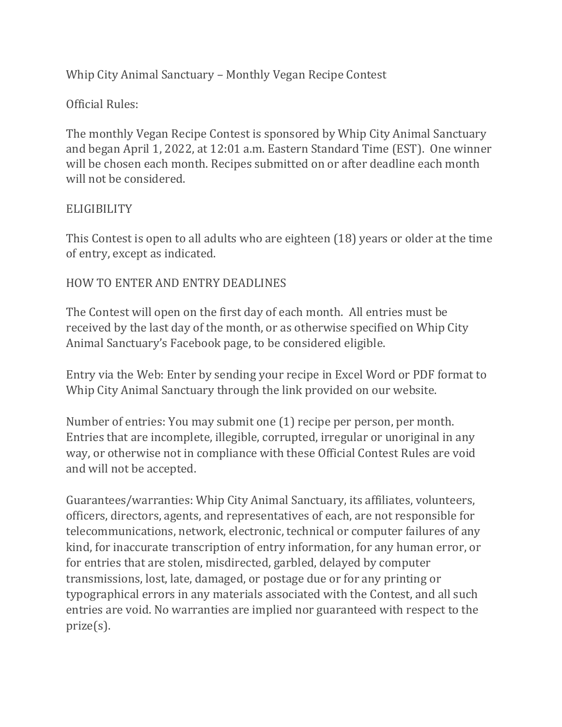Whip City Animal Sanctuary – Monthly Vegan Recipe Contest

# Official Rules:

The monthly Vegan Recipe Contest is sponsored by Whip City Animal Sanctuary and began April 1, 2022, at 12:01 a.m. Eastern Standard Time (EST). One winner will be chosen each month. Recipes submitted on or after deadline each month will not be considered.

### **ELIGIBILITY**

This Contest is open to all adults who are eighteen (18) years or older at the time of entry, except as indicated.

## HOW TO ENTER AND ENTRY DEADLINES

The Contest will open on the first day of each month. All entries must be received by the last day of the month, or as otherwise specified on Whip City Animal Sanctuary's Facebook page, to be considered eligible.

Entry via the Web: Enter by sending your recipe in Excel Word or PDF format to Whip City Animal Sanctuary through the link provided on our website.

Number of entries: You may submit one (1) recipe per person, per month. Entries that are incomplete, illegible, corrupted, irregular or unoriginal in any way, or otherwise not in compliance with these Official Contest Rules are void and will not be accepted.

Guarantees/warranties: Whip City Animal Sanctuary, its affiliates, volunteers, officers, directors, agents, and representatives of each, are not responsible for telecommunications, network, electronic, technical or computer failures of any kind, for inaccurate transcription of entry information, for any human error, or for entries that are stolen, misdirected, garbled, delayed by computer transmissions, lost, late, damaged, or postage due or for any printing or typographical errors in any materials associated with the Contest, and all such entries are void. No warranties are implied nor guaranteed with respect to the prize(s).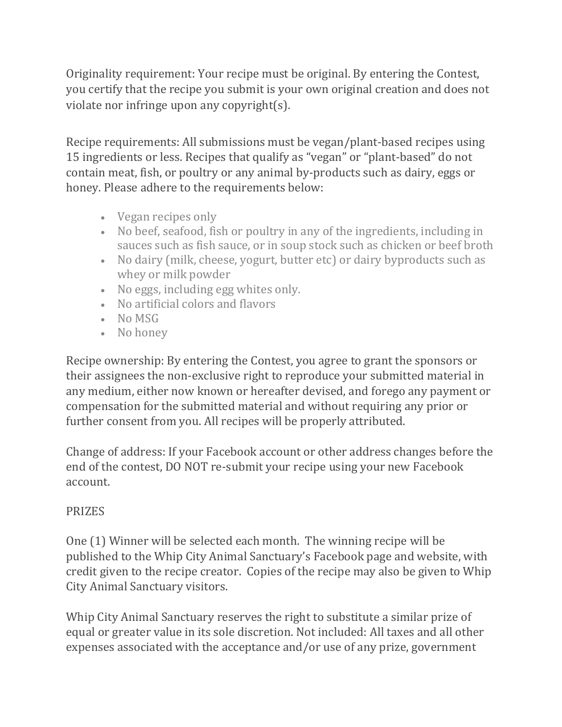Originality requirement: Your recipe must be original. By entering the Contest, you certify that the recipe you submit is your own original creation and does not violate nor infringe upon any copyright(s).

Recipe requirements: All submissions must be vegan/plant-based recipes using 15 ingredients or less. Recipes that qualify as "vegan" or "plant-based" do not contain meat, fish, or poultry or any animal by-products such as dairy, eggs or honey. Please adhere to the requirements below:

- Vegan recipes only
- No beef, seafood, fish or poultry in any of the ingredients, including in sauces such as fish sauce, or in soup stock such as chicken or beef broth
- No dairy (milk, cheese, yogurt, butter etc) or dairy byproducts such as whey or milk powder
- No eggs, including egg whites only.
- No artificial colors and flavors
- No MSG
- No honey

Recipe ownership: By entering the Contest, you agree to grant the sponsors or their assignees the non-exclusive right to reproduce your submitted material in any medium, either now known or hereafter devised, and forego any payment or compensation for the submitted material and without requiring any prior or further consent from you. All recipes will be properly attributed.

Change of address: If your Facebook account or other address changes before the end of the contest, DO NOT re-submit your recipe using your new Facebook account.

## PRIZES

One (1) Winner will be selected each month. The winning recipe will be published to the Whip City Animal Sanctuary's Facebook page and website, with credit given to the recipe creator. Copies of the recipe may also be given to Whip City Animal Sanctuary visitors.

Whip City Animal Sanctuary reserves the right to substitute a similar prize of equal or greater value in its sole discretion. Not included: All taxes and all other expenses associated with the acceptance and/or use of any prize, government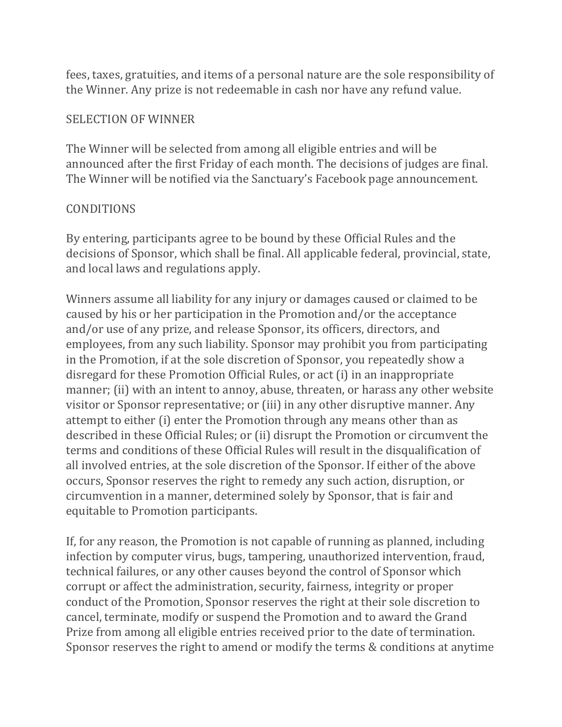fees, taxes, gratuities, and items of a personal nature are the sole responsibility of the Winner. Any prize is not redeemable in cash nor have any refund value.

#### SELECTION OF WINNER

The Winner will be selected from among all eligible entries and will be announced after the first Friday of each month. The decisions of judges are final. The Winner will be notified via the Sanctuary's Facebook page announcement.

#### **CONDITIONS**

By entering, participants agree to be bound by these Official Rules and the decisions of Sponsor, which shall be final. All applicable federal, provincial, state, and local laws and regulations apply.

Winners assume all liability for any injury or damages caused or claimed to be caused by his or her participation in the Promotion and/or the acceptance and/or use of any prize, and release Sponsor, its officers, directors, and employees, from any such liability. Sponsor may prohibit you from participating in the Promotion, if at the sole discretion of Sponsor, you repeatedly show a disregard for these Promotion Official Rules, or act (i) in an inappropriate manner; (ii) with an intent to annoy, abuse, threaten, or harass any other website visitor or Sponsor representative; or (iii) in any other disruptive manner. Any attempt to either (i) enter the Promotion through any means other than as described in these Official Rules; or (ii) disrupt the Promotion or circumvent the terms and conditions of these Official Rules will result in the disqualification of all involved entries, at the sole discretion of the Sponsor. If either of the above occurs, Sponsor reserves the right to remedy any such action, disruption, or circumvention in a manner, determined solely by Sponsor, that is fair and equitable to Promotion participants.

If, for any reason, the Promotion is not capable of running as planned, including infection by computer virus, bugs, tampering, unauthorized intervention, fraud, technical failures, or any other causes beyond the control of Sponsor which corrupt or affect the administration, security, fairness, integrity or proper conduct of the Promotion, Sponsor reserves the right at their sole discretion to cancel, terminate, modify or suspend the Promotion and to award the Grand Prize from among all eligible entries received prior to the date of termination. Sponsor reserves the right to amend or modify the terms & conditions at anytime